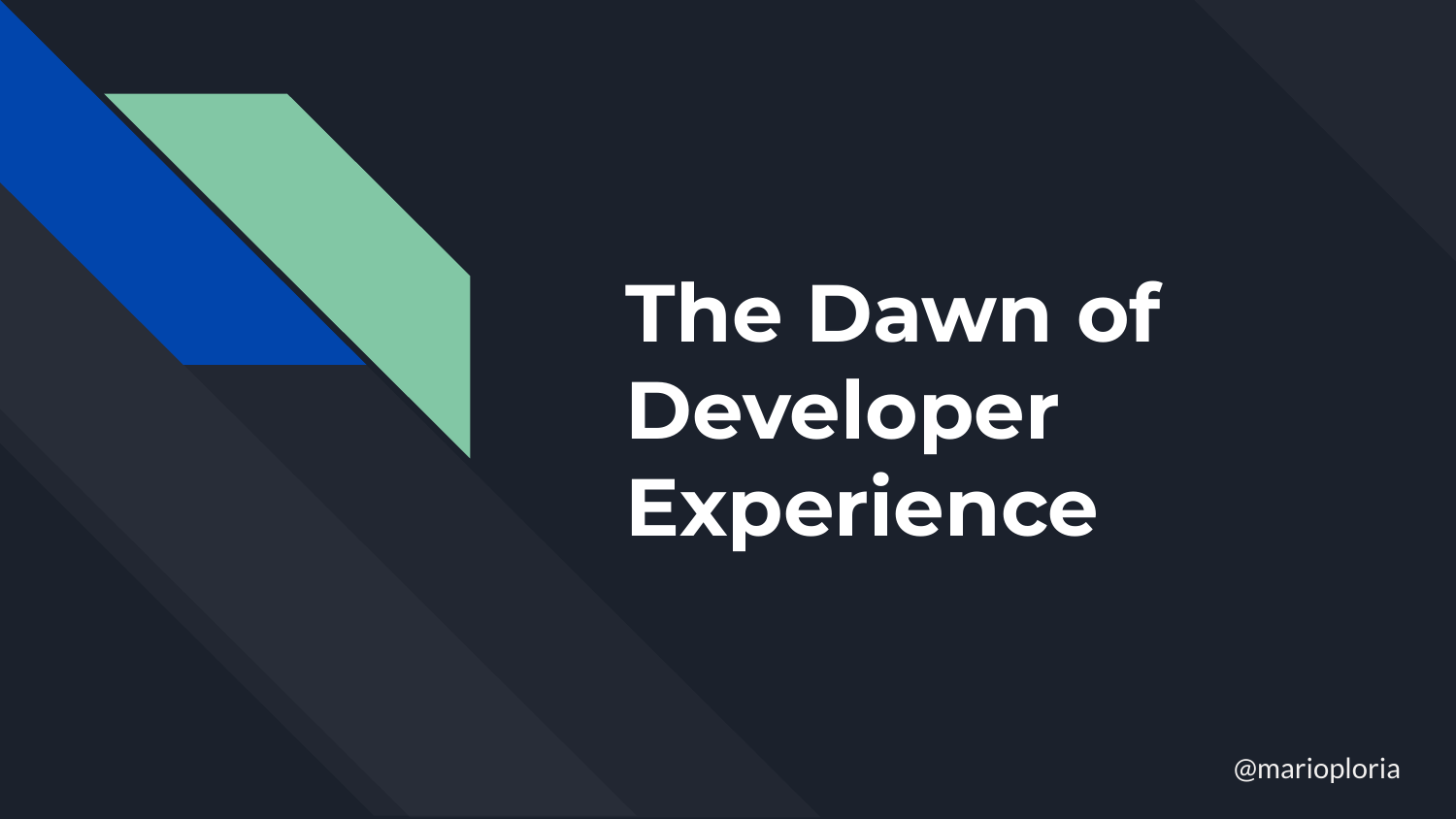# **The Dawn of Developer Experience**

@marioploria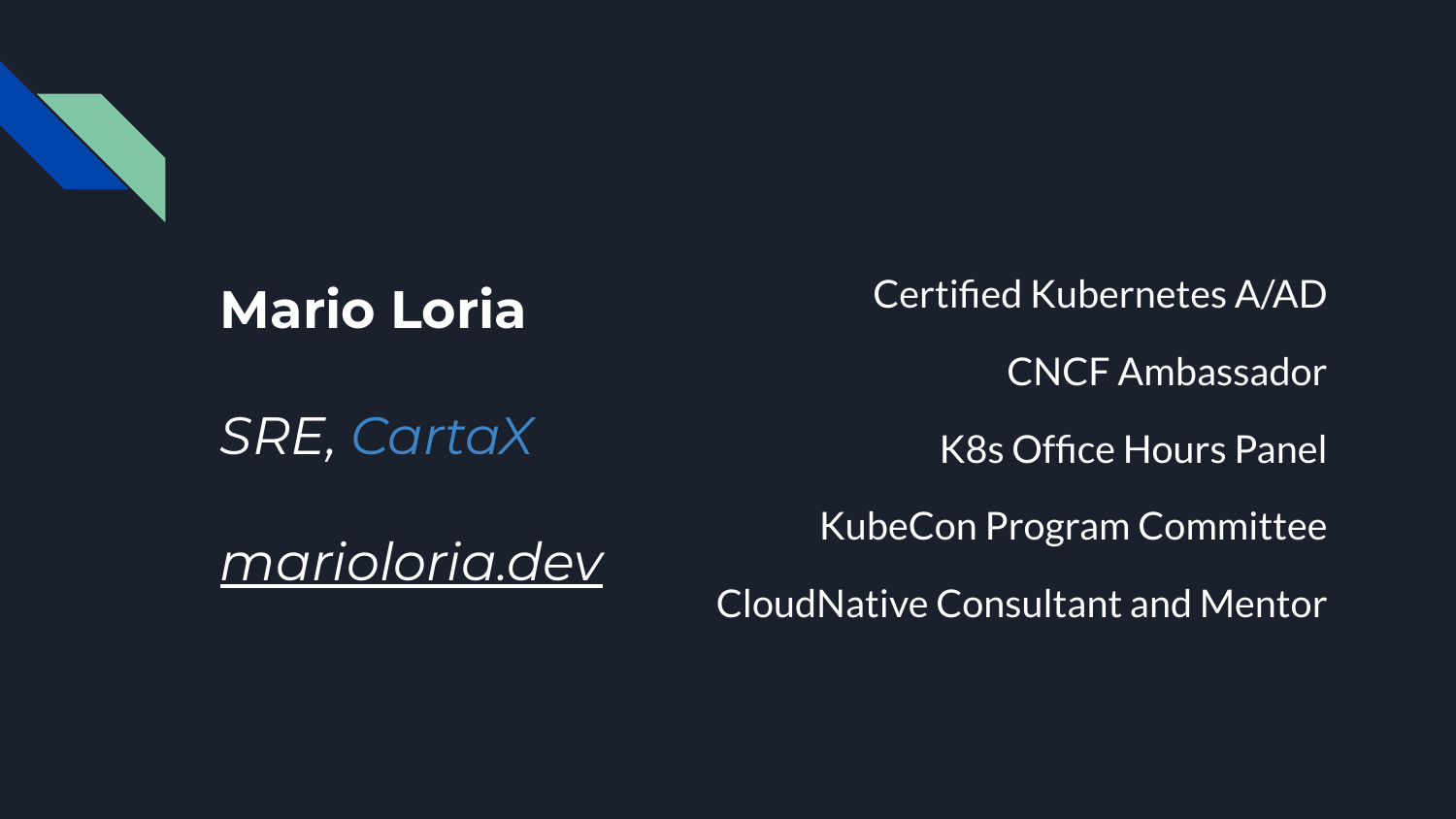

## **Mario Loria**

*SRE, CartaX*

Certified Kubernetes A/AD CNCF Ambassador K8s Office Hours Panel KubeCon Program Committee

CloudNative Consultant and Mentor

*marioloria.dev*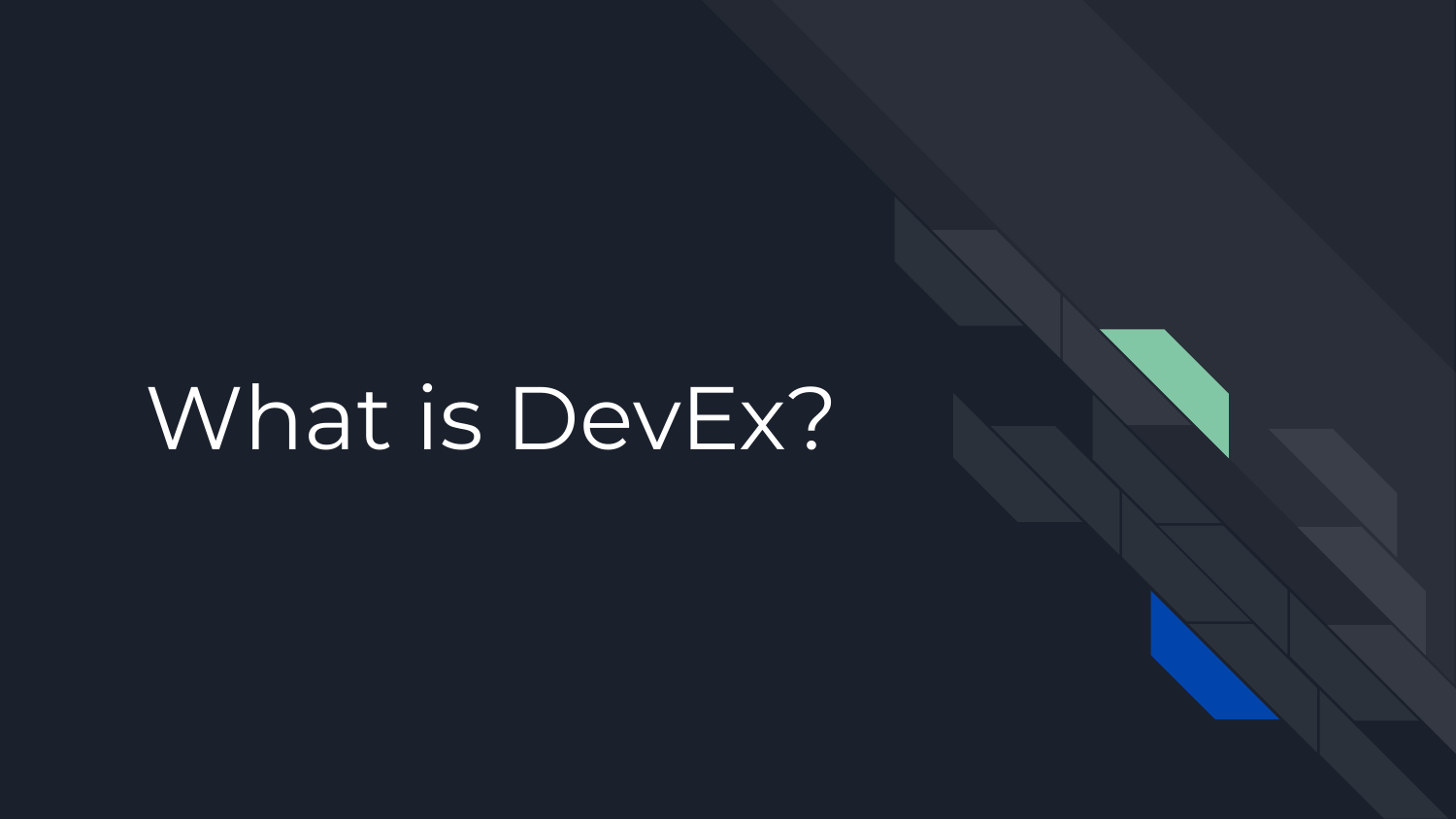## What is DevEx?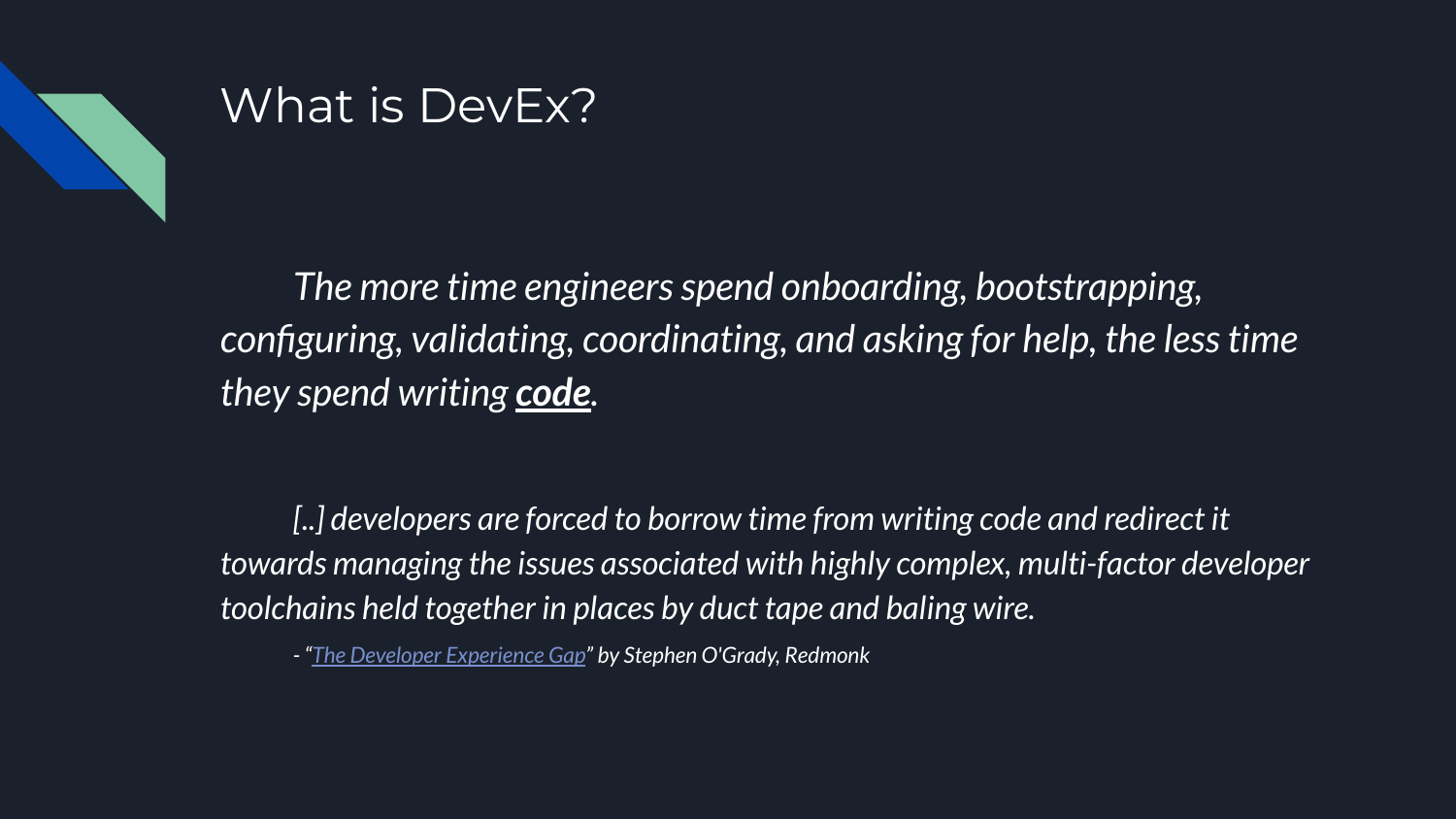

## What is DevEx?

*The more time engineers spend onboarding, bootstrapping, configuring, validating, coordinating, and asking for help, the less time they spend writing code.*

*[..] developers are forced to borrow time from writing code and redirect it towards managing the issues associated with highly complex, multi-factor developer toolchains held together in places by duct tape and baling wire.*

*- ["The Developer Experience Gap"](https://redmonk.com/sogrady/2020/10/06/developer-experience-gap/) by Stephen O'Grady, Redmonk*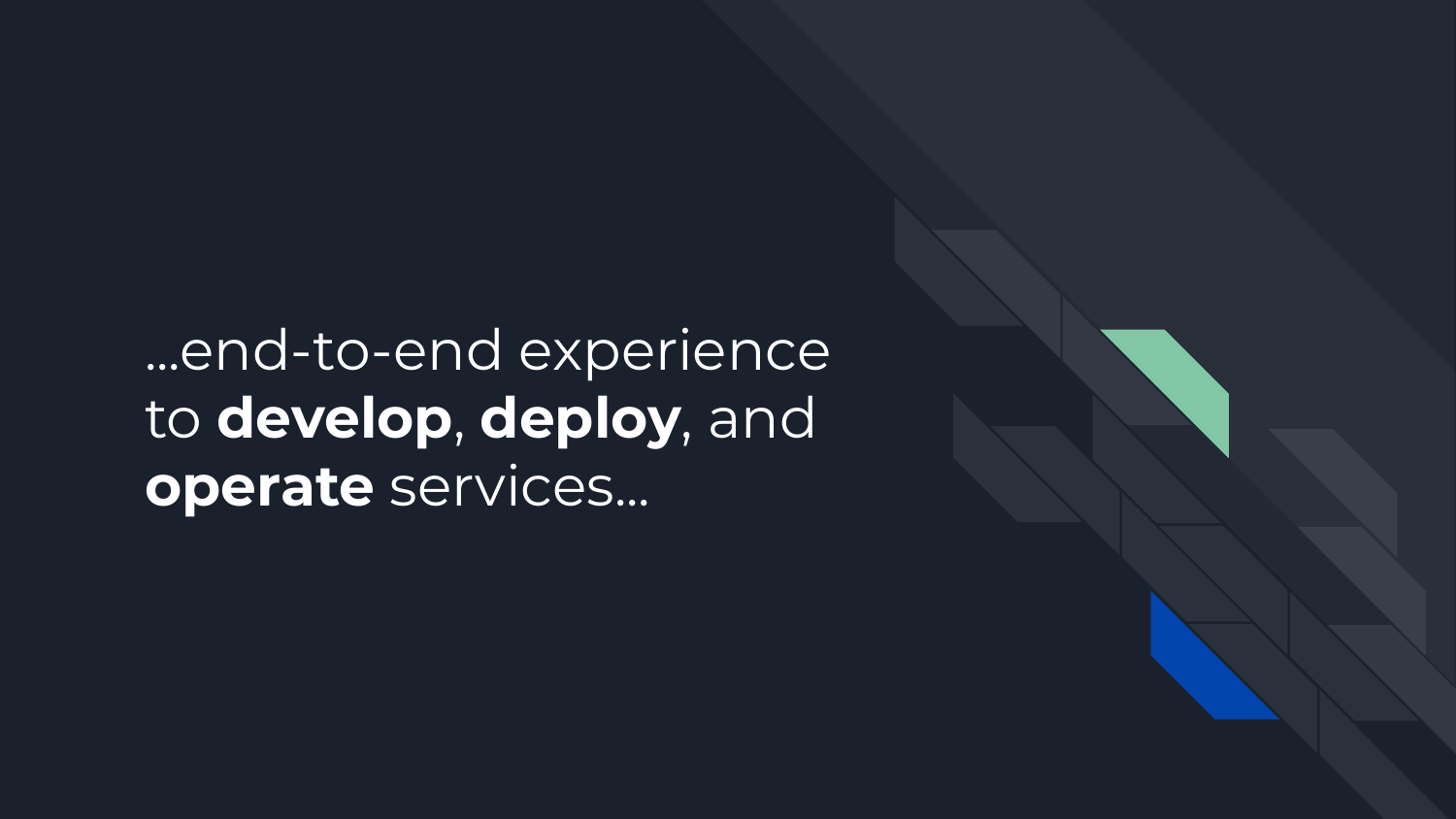## ...end-to-end experience to **develop**, **deploy**, and **operate** services...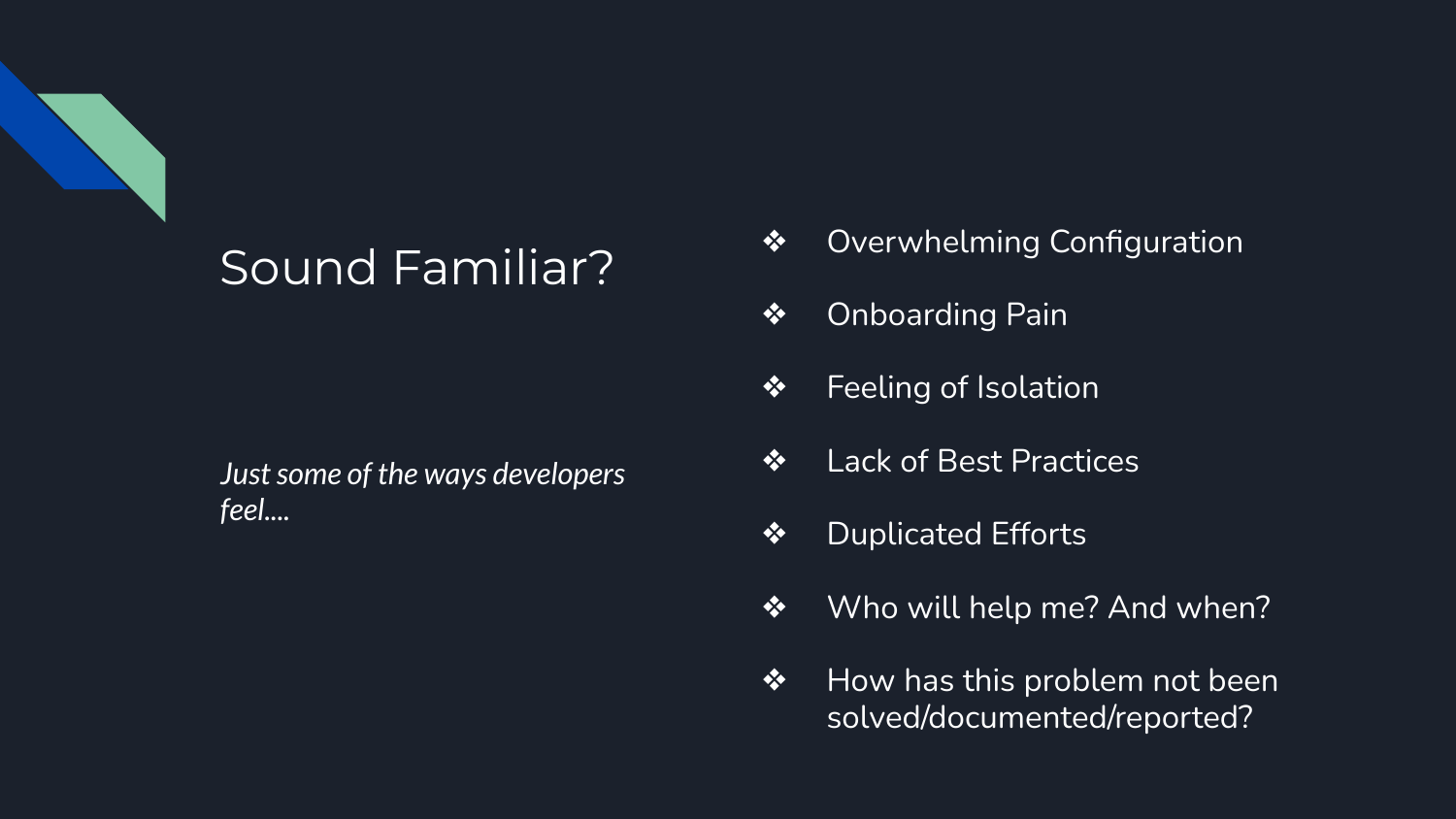

## Sound Familiar?

*Just some of the ways developers feel....*

- ❖ Overwhelming Configuration
- ❖ Onboarding Pain
- ❖ Feeling of Isolation
- ❖ Lack of Best Practices
- ❖ Duplicated Efforts
- ❖ Who will help me? And when?
- ❖ How has this problem not been solved/documented/reported?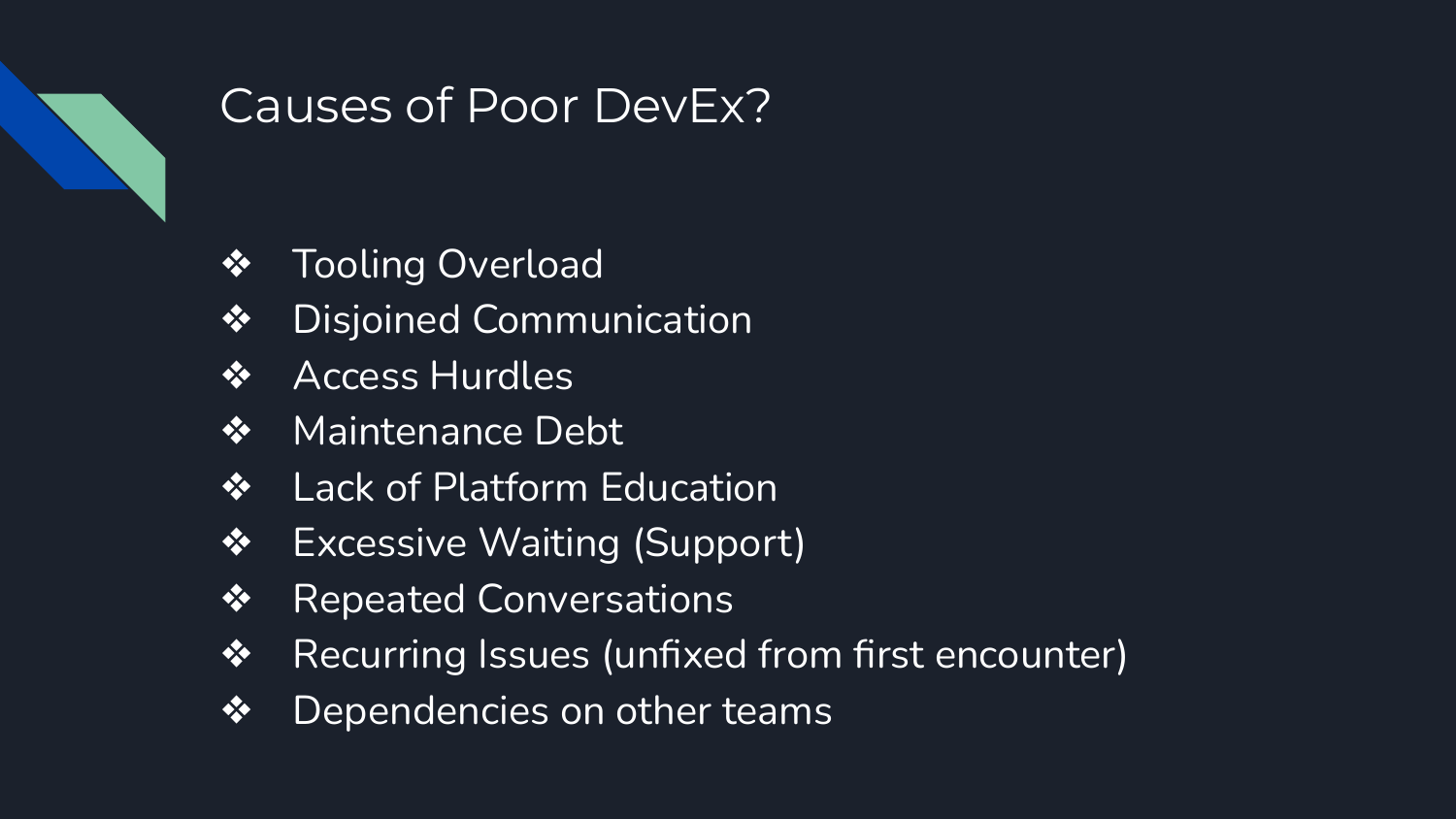

## Causes of Poor DevEx?

- ❖ Tooling Overload
- ❖ Disjoined Communication
- ❖ Access Hurdles
- ❖ Maintenance Debt
- ❖ Lack of Platform Education
- ❖ Excessive Waiting (Support)
- ❖ Repeated Conversations
- ❖ Recurring Issues (unfixed from first encounter)
- ❖ Dependencies on other teams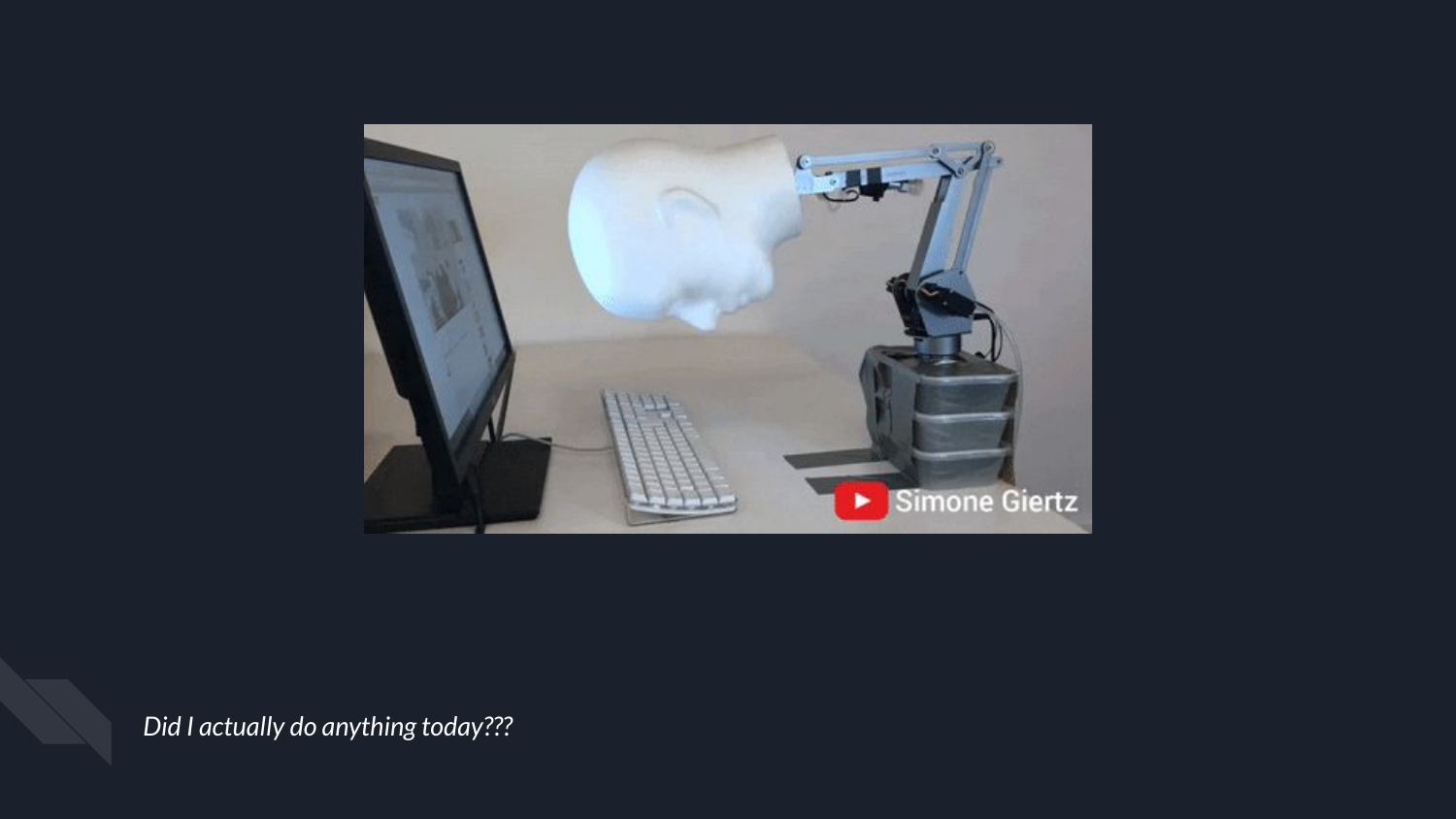

*Did I actually do anything today???*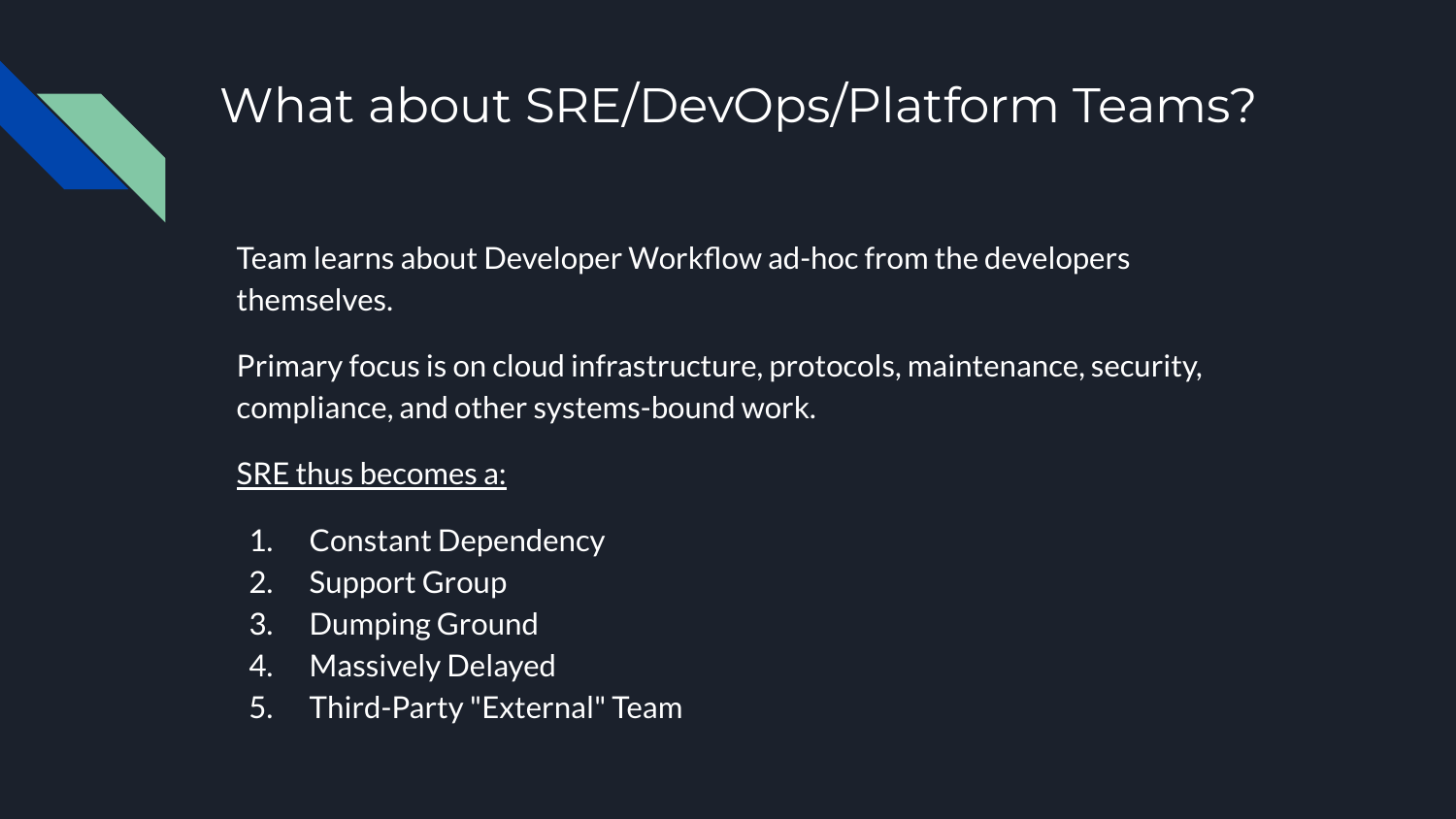

## What about SRE/DevOps/Platform Teams?

Team learns about Developer Workflow ad-hoc from the developers themselves.

Primary focus is on cloud infrastructure, protocols, maintenance, security, compliance, and other systems-bound work.

#### SRE thus becomes a:

- 1. Constant Dependency
- 2. Support Group
- 3. Dumping Ground
- 4. Massively Delayed
- 5. Third-Party "External" Team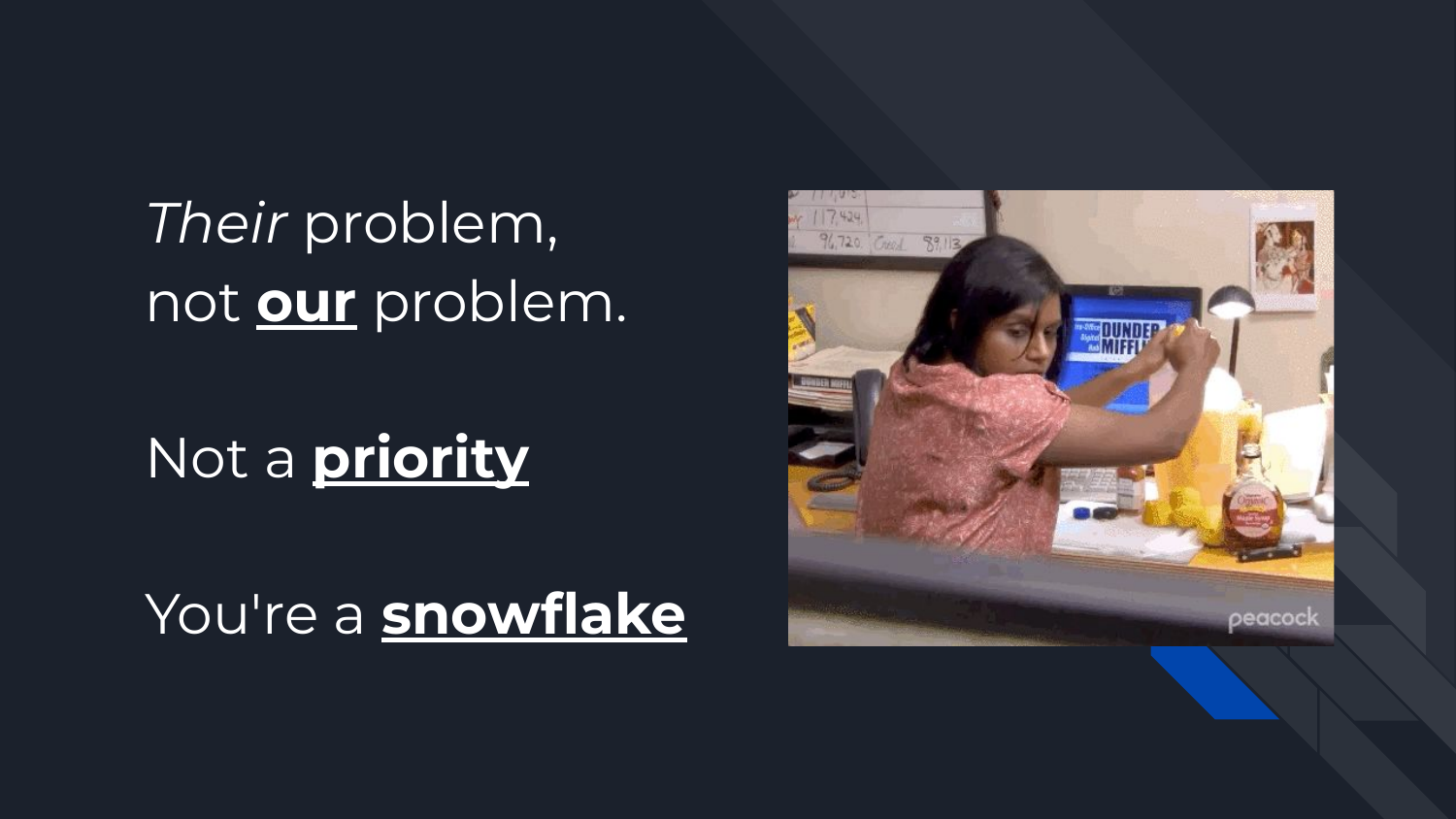*Their* problem, not **our** problem.

## Not a **priority**

## You're a **snowflake**

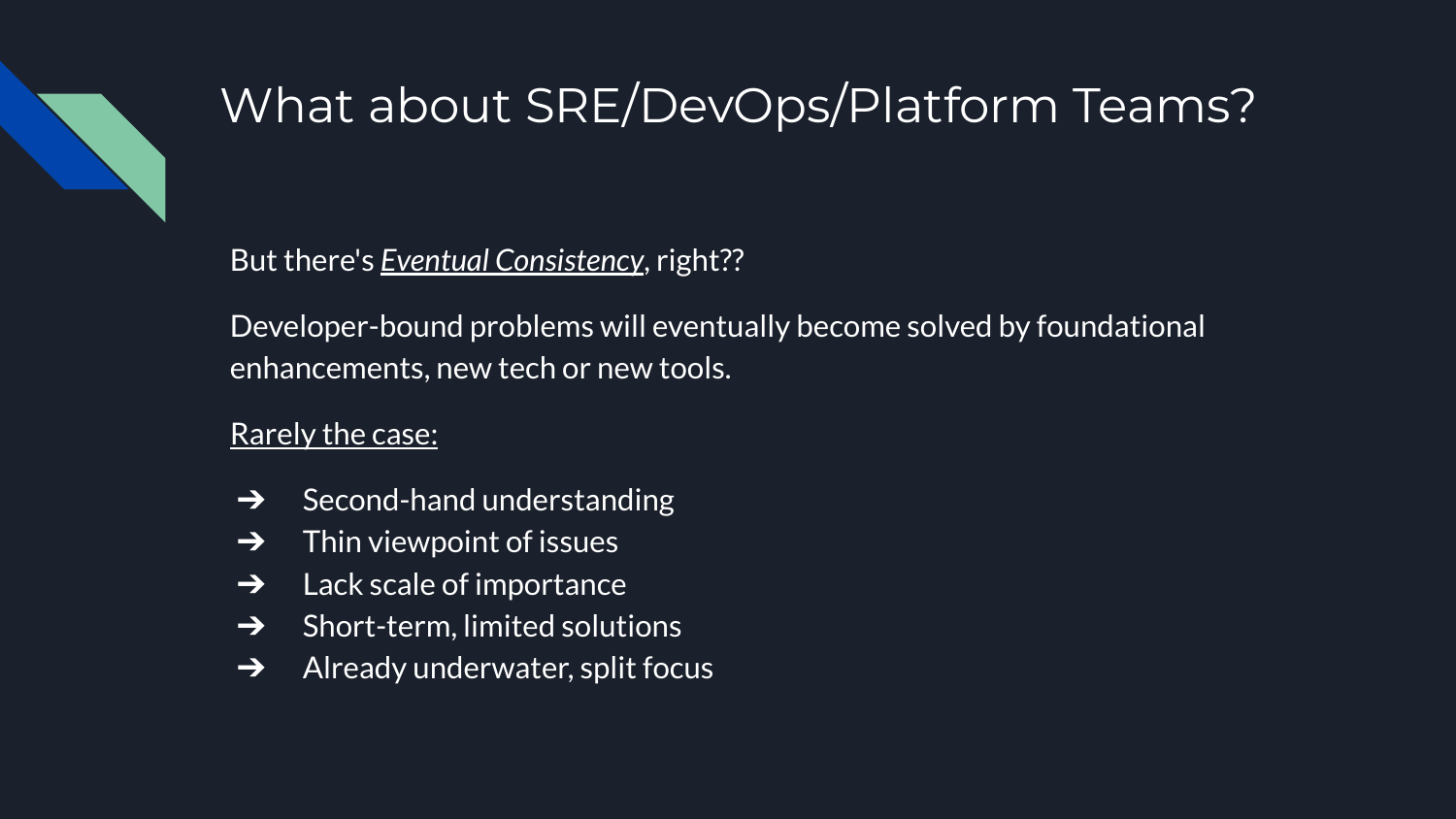

## What about SRE/DevOps/Platform Teams?

But there's *Eventual Consistency*, right??

Developer-bound problems will eventually become solved by foundational enhancements, new tech or new tools.

Rarely the case:

- $\rightarrow$  Second-hand understanding
- $\rightarrow$  Thin viewpoint of issues
- $\rightarrow$  Lack scale of importance
- $\rightarrow$  Short-term, limited solutions
- $\rightarrow$  Already underwater, split focus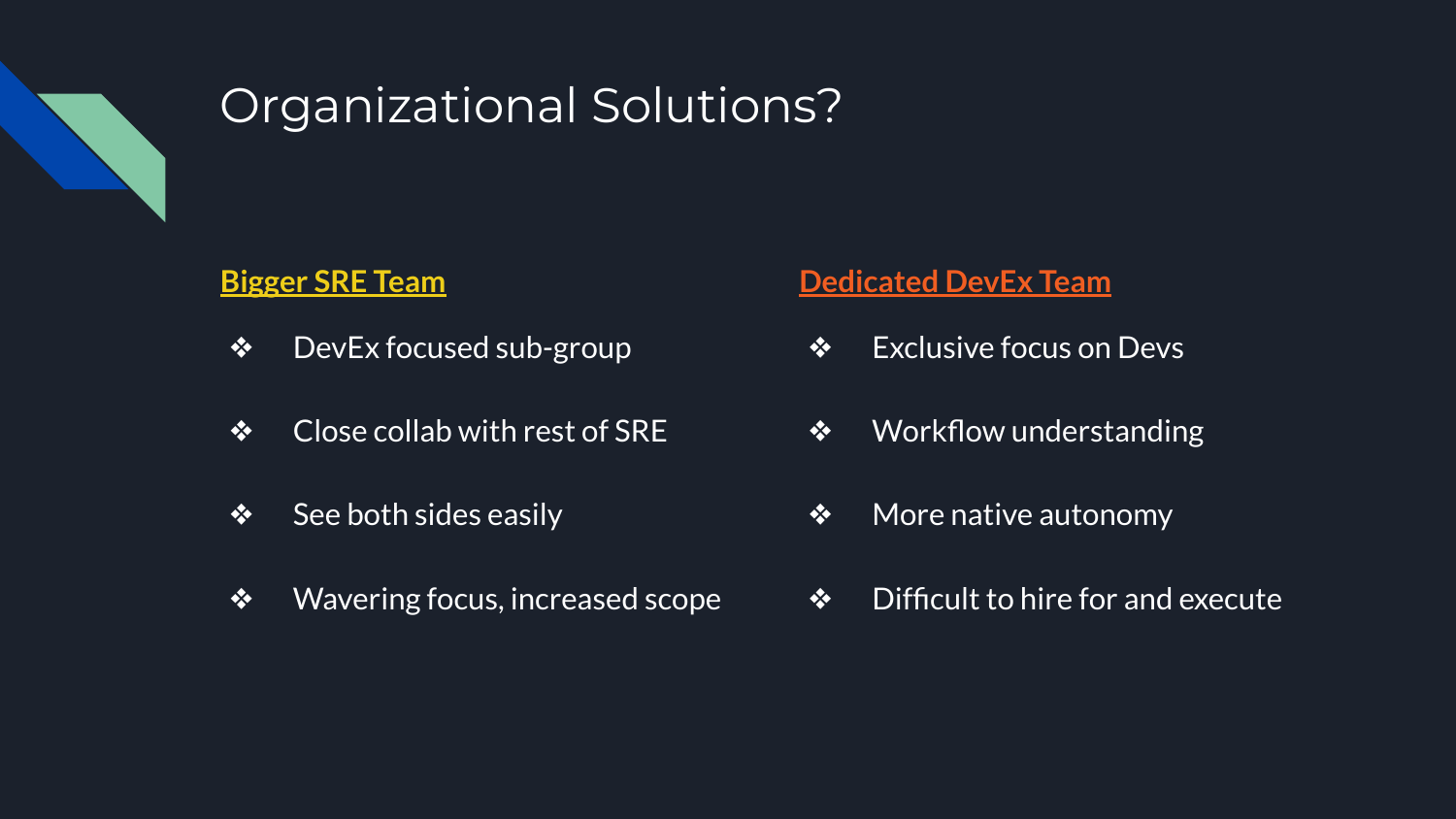

## Organizational Solutions?

#### **Bigger SRE Team**

- ❖ DevEx focused sub-group
- ❖ Close collab with rest of SRE
- $\bullet$  See both sides easily
- ❖ Wavering focus, increased scope

#### **Dedicated DevEx Team**

- ❖ Exclusive focus on Devs
- ❖ Workflow understanding
- ❖ More native autonomy
- ❖ Difficult to hire for and execute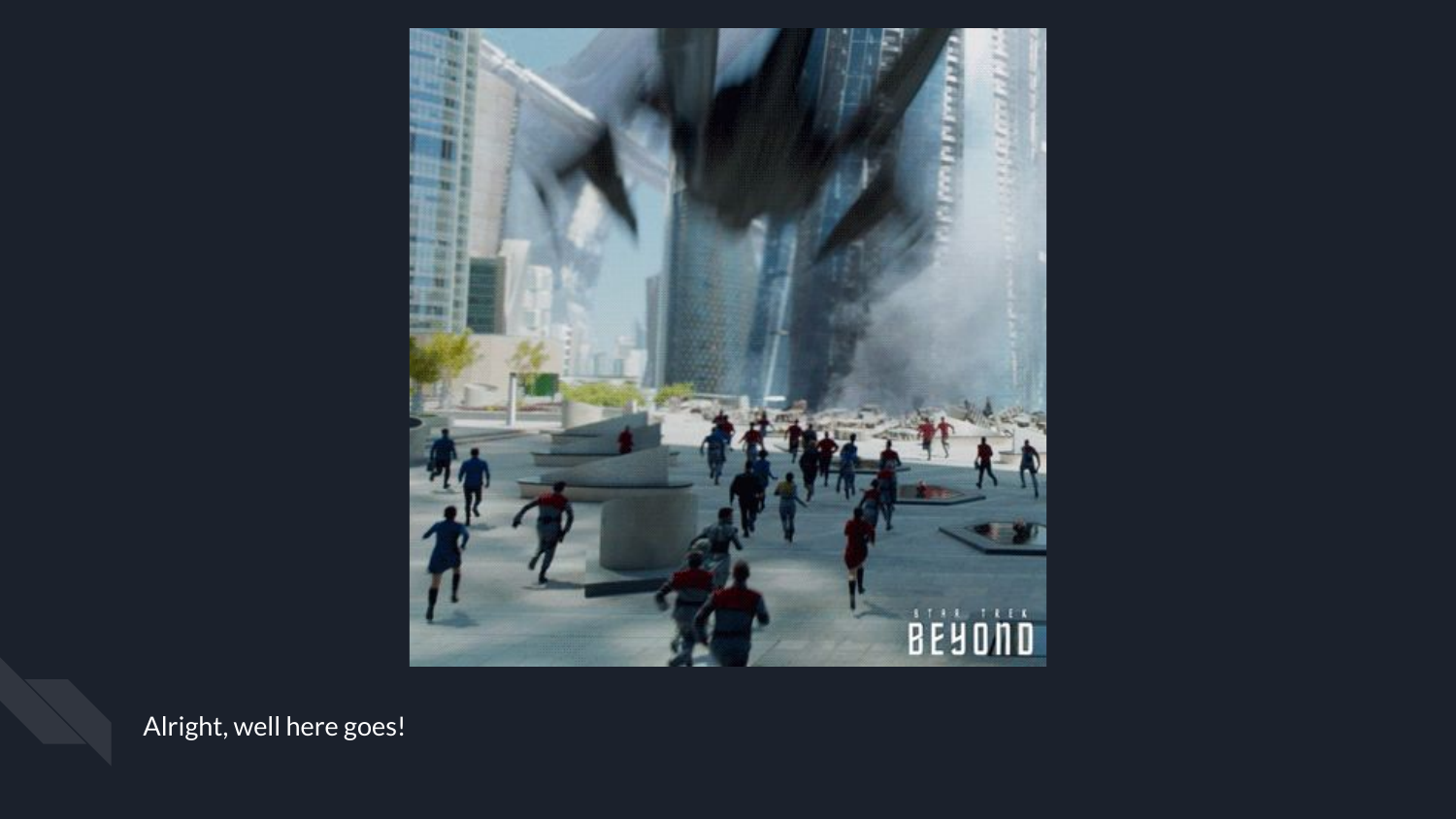

Alright, well here goes!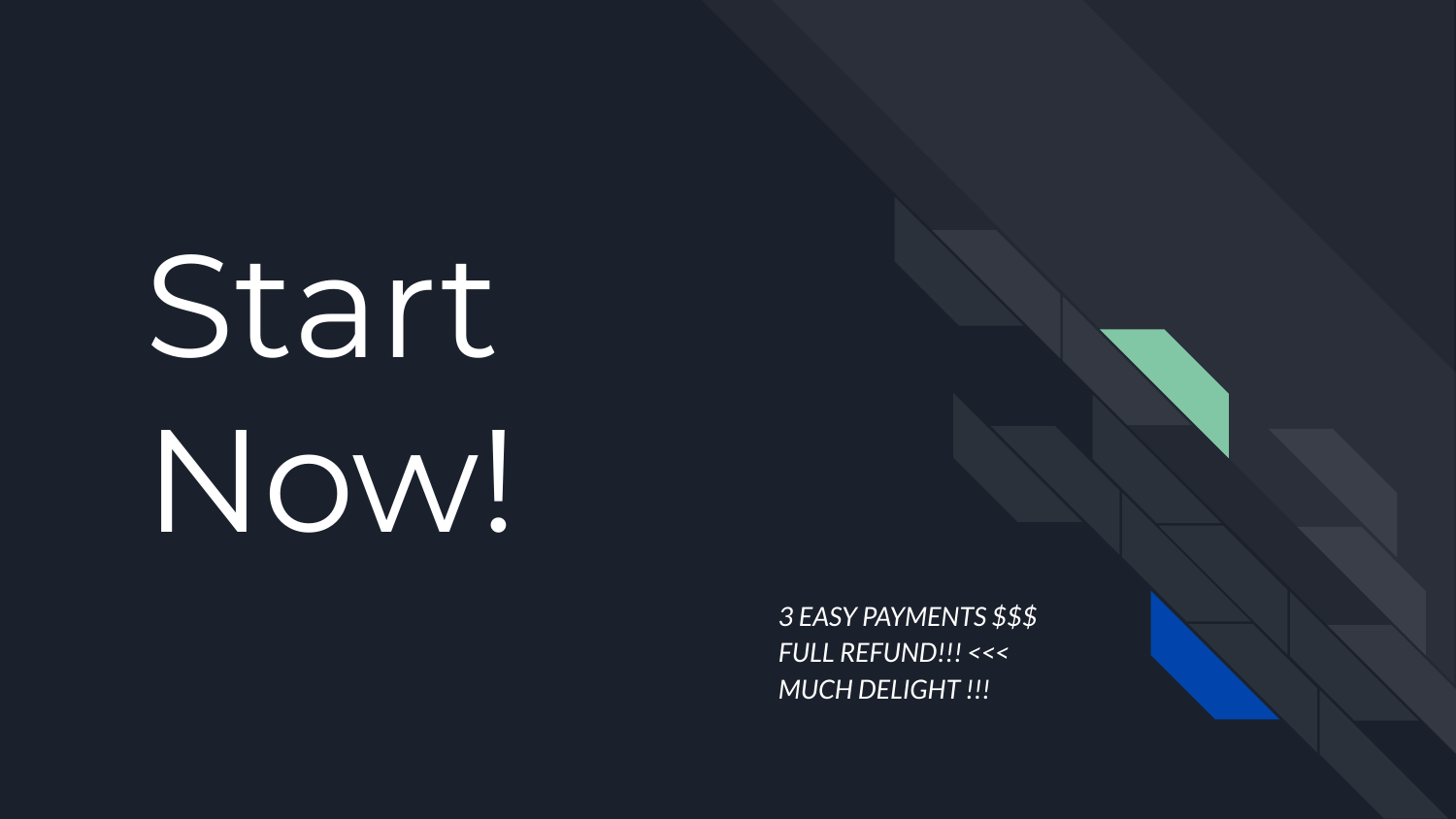# Start Now!

*3 EASY PAYMENTS \$\$\$ FULL REFUND!!! <<< MUCH DELIGHT !!!*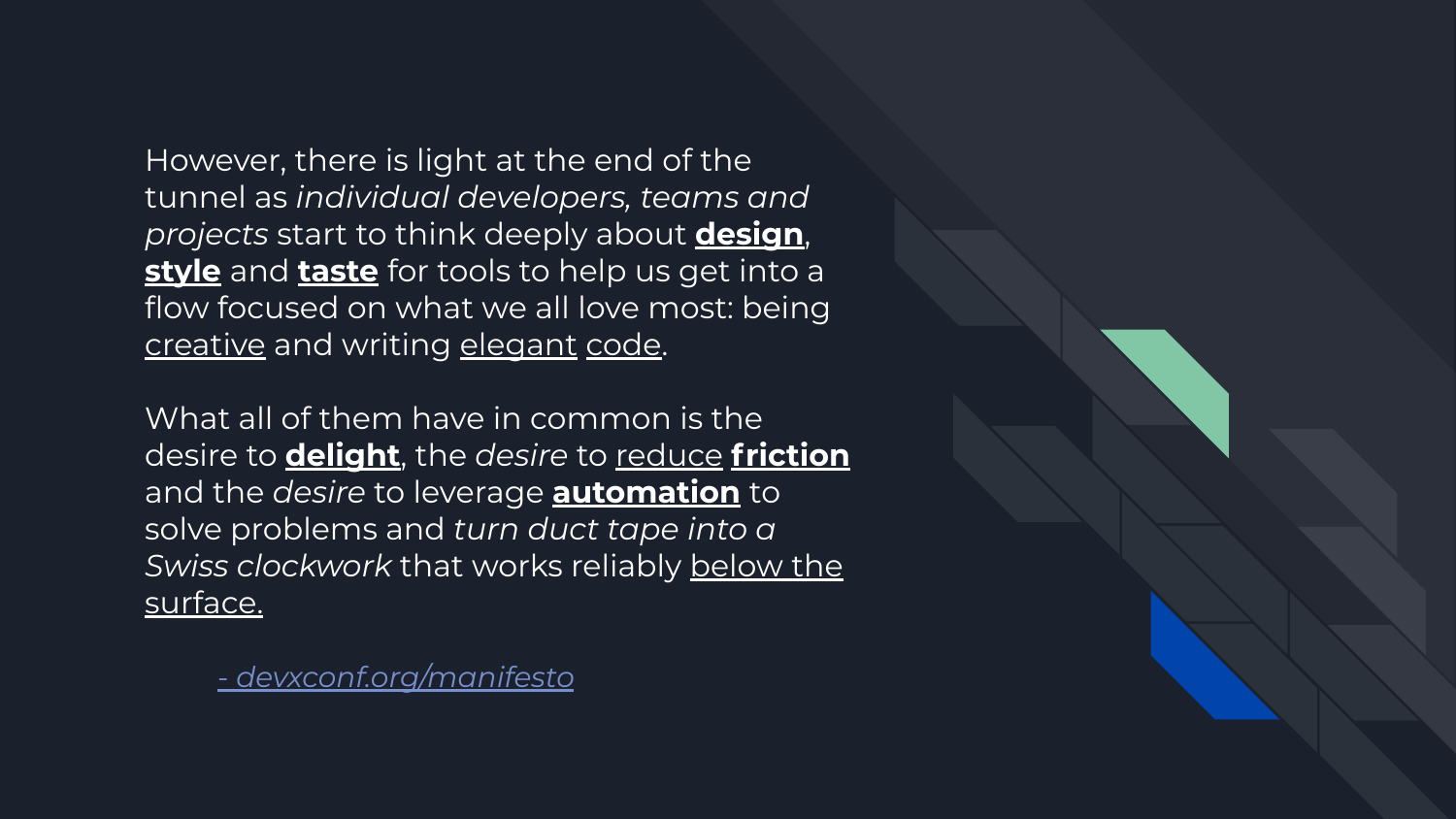However, there is light at the end of the tunnel as *individual developers, teams and projects* start to think deeply about **design**, **style** and **taste** for tools to help us get into a flow focused on what we all love most: being creative and writing elegant code.

What all of them have in common is the desire to **delight**, the *desire* to reduce **friction** and the *desire* to leverage **automation** to solve problems and *turn duct tape into a Swiss clockwork* that works reliably below the surface.

*[- devxconf.org/manifesto](https://devxconf.org/manifesto)*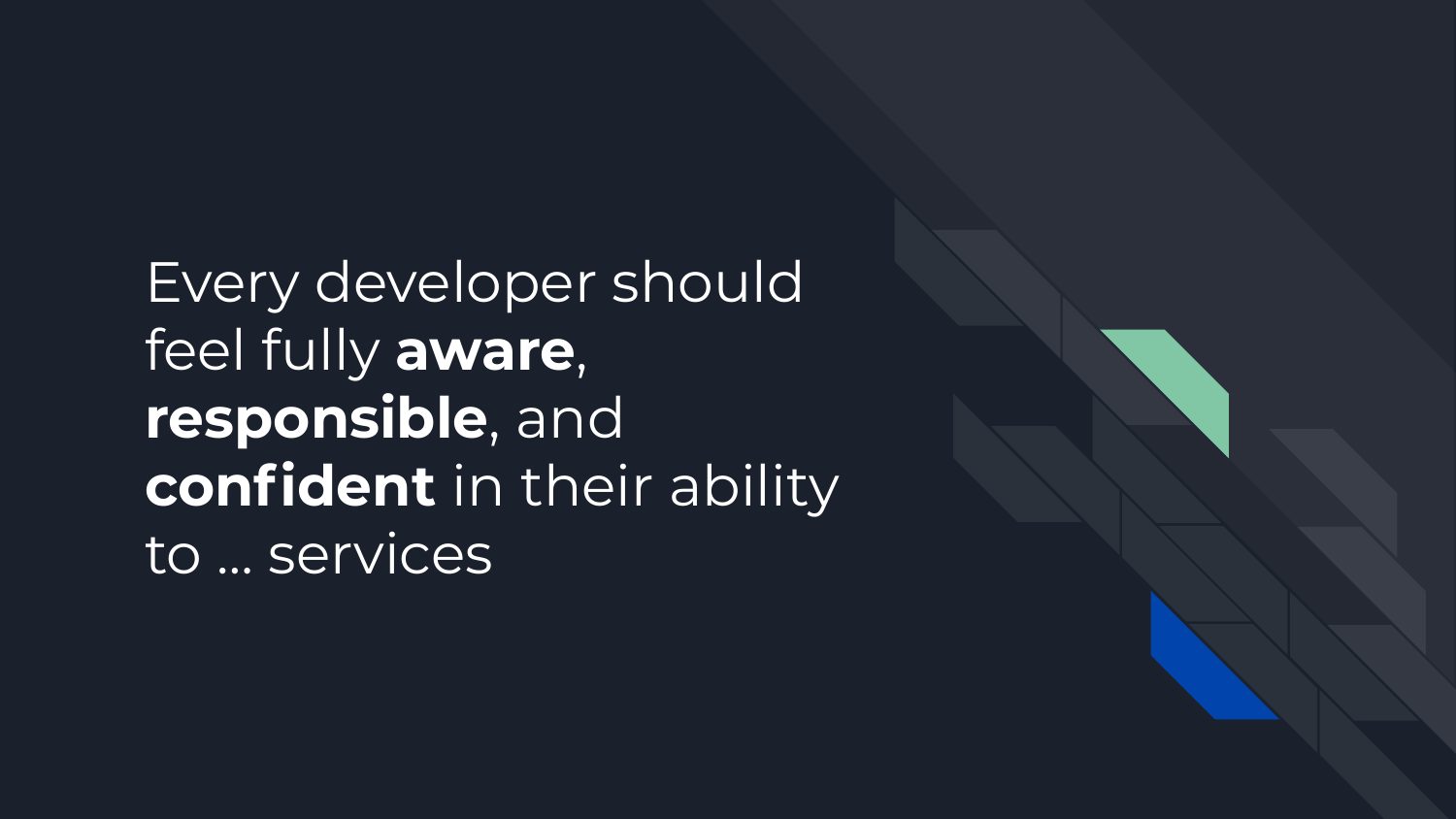Every developer should feel fully **aware**, **responsible**, and **confident** in their ability to … services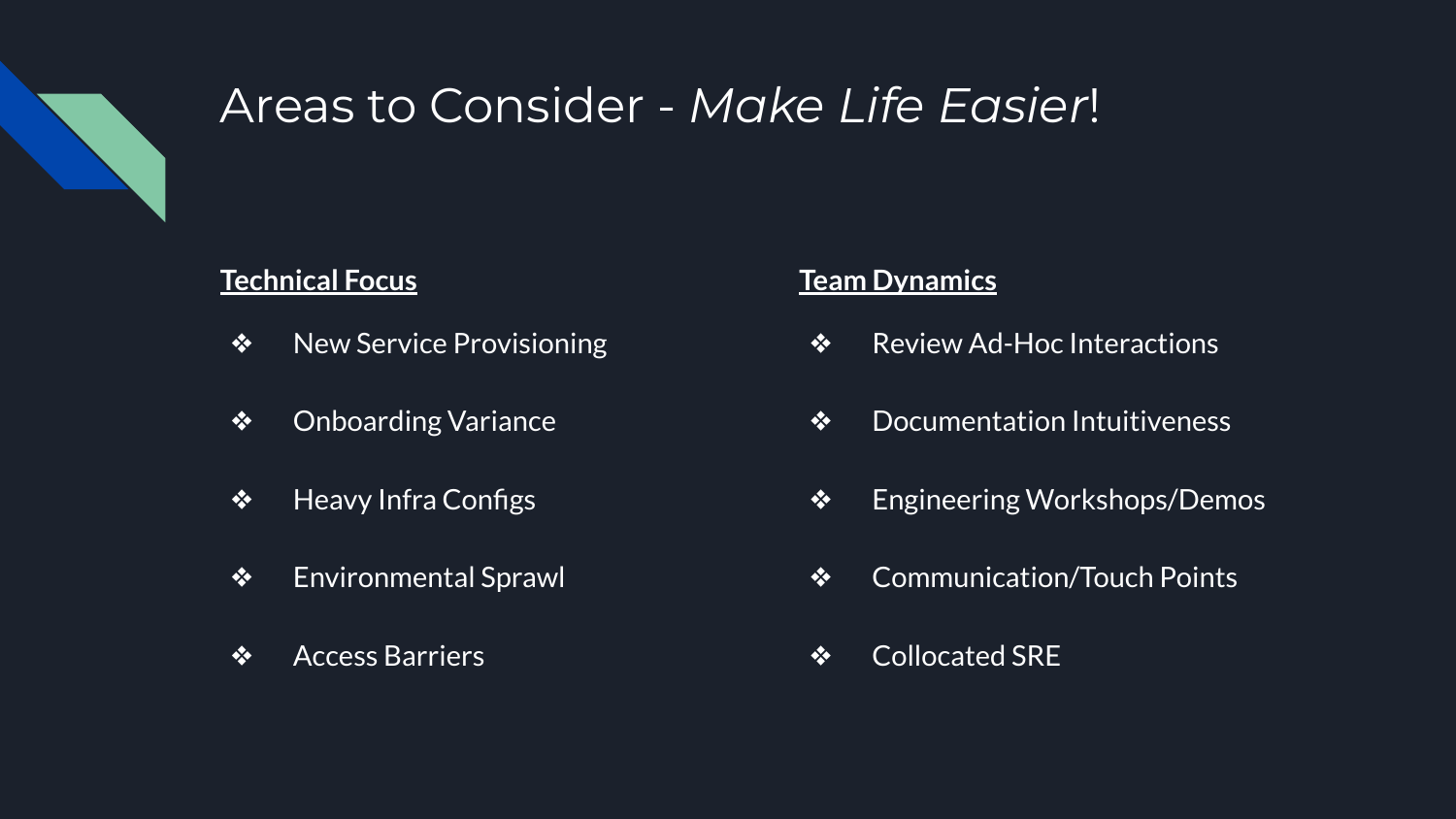

## Areas to Consider - *Make Life Easier*!

#### **Technical Focus**

- ❖ New Service Provisioning
- ❖ Onboarding Variance
- ❖ Heavy Infra Configs
- ❖ Environmental Sprawl
- ❖ Access Barriers

#### **Team Dynamics**

- ❖ Review Ad-Hoc Interactions
- ❖ Documentation Intuitiveness
- ❖ Engineering Workshops/Demos
- ❖ Communication/Touch Points
- ❖ Collocated SRE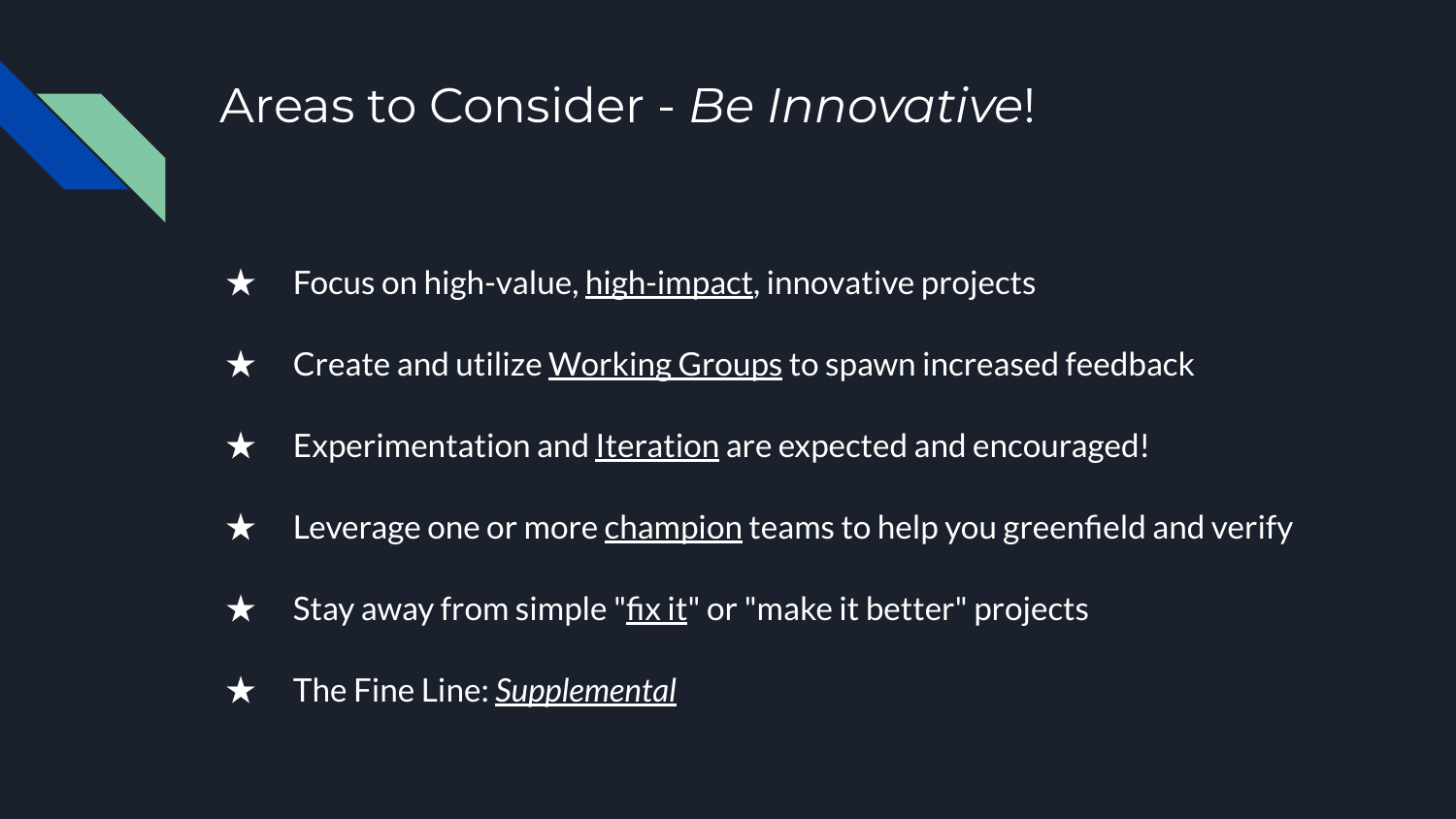## Areas to Consider - *Be Innovative*!

- $\star$  Focus on high-value, high-impact, innovative projects
- $\star$  Create and utilize Working Groups to spawn increased feedback
- $\star$  Experimentation and <u>Iteration</u> are expected and encouraged!
- $\star$  Leverage one or more champion teams to help you greenfield and verify
- $\star$  Stay away from simple "fix it" or "make it better" projects
- ★ The Fine Line: *Supplemental*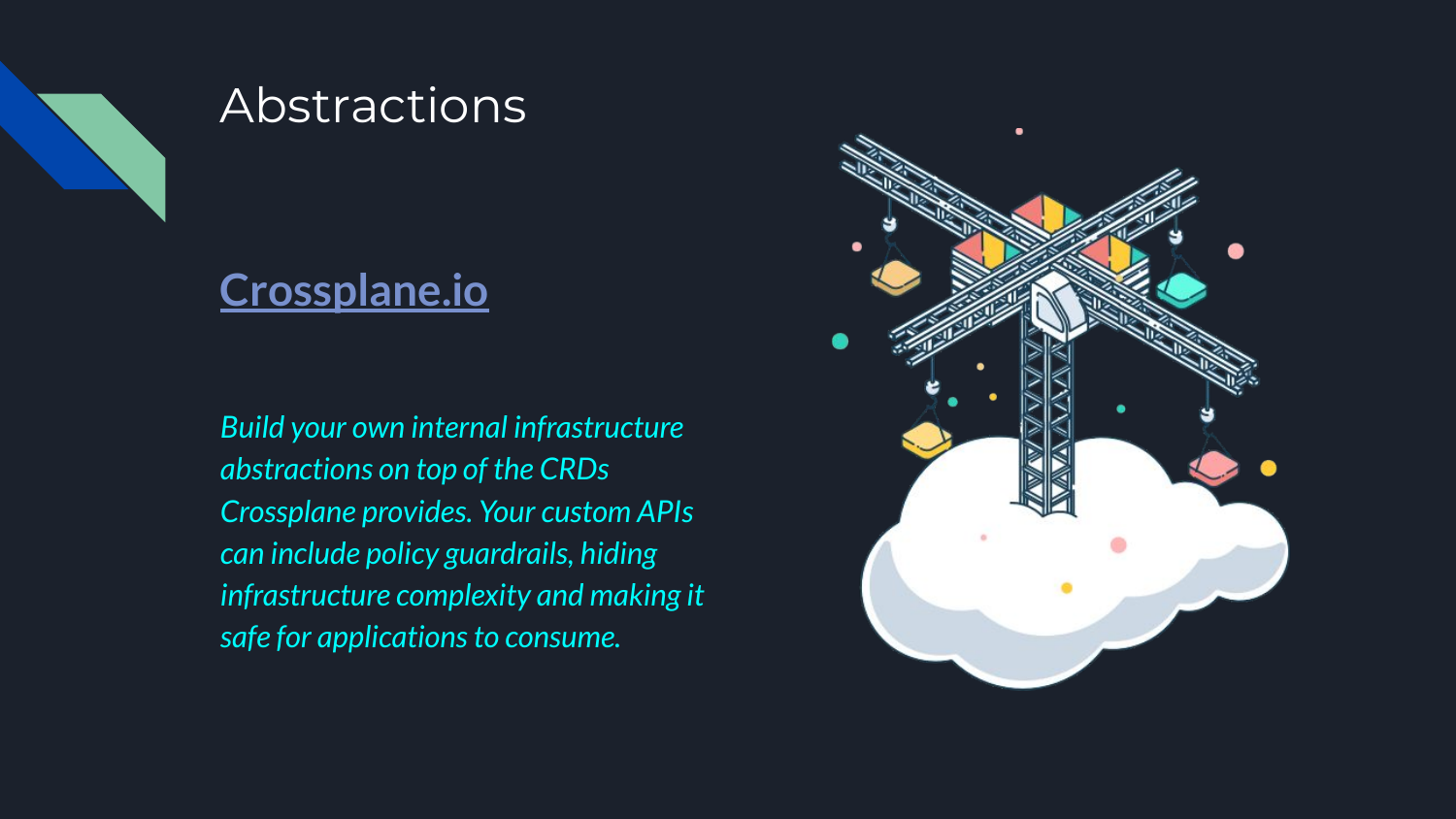

## Abstractions

### **[Crossplane.io](https://crossplane.io/)**

*Build your own internal infrastructure abstractions on top of the CRDs Crossplane provides. Your custom APIs can include policy guardrails, hiding infrastructure complexity and making it safe for applications to consume.*

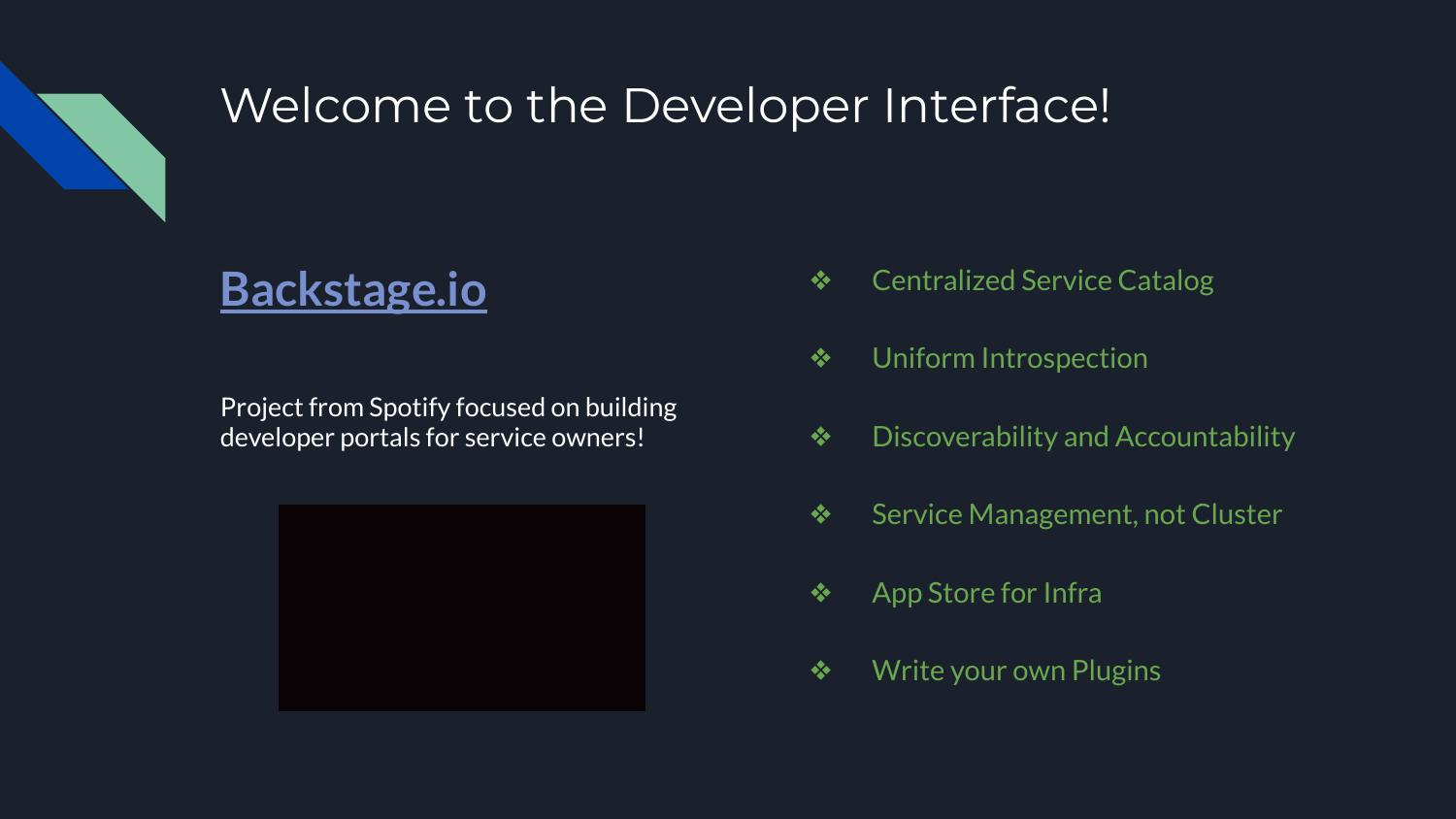

## Welcome to the Developer Interface!

## **[Backstage.io](https://backstage.io/)**

Project from Spotify focused on building developer portals for service owners!



- ❖ Centralized Service Catalog
- ❖ Uniform Introspection
- ❖ Discoverability and Accountability
- ❖ Service Management, not Cluster
- ❖ App Store for Infra
- ❖ Write your own Plugins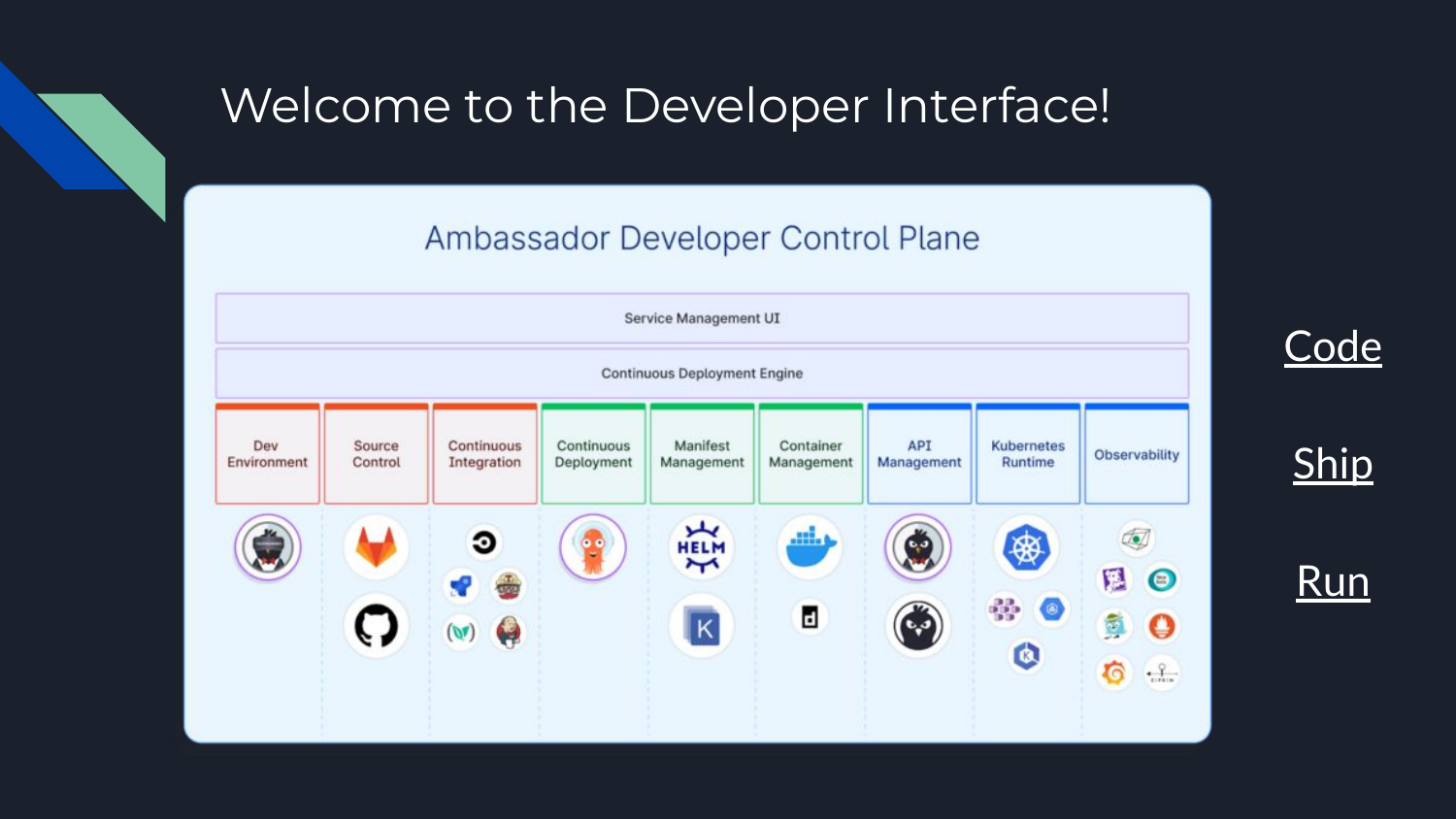## Welcome to the Developer Interface!

#### Ambassador Developer Control Plane

**[Code](https://blog.getambassador.io/introducing-the-ambassador-developer-control-plane-339c97fa4716)** 

**[Ship](https://blog.getambassador.io/introducing-the-ambassador-developer-control-plane-339c97fa4716)** 

[Run](https://blog.getambassador.io/introducing-the-ambassador-developer-control-plane-339c97fa4716)

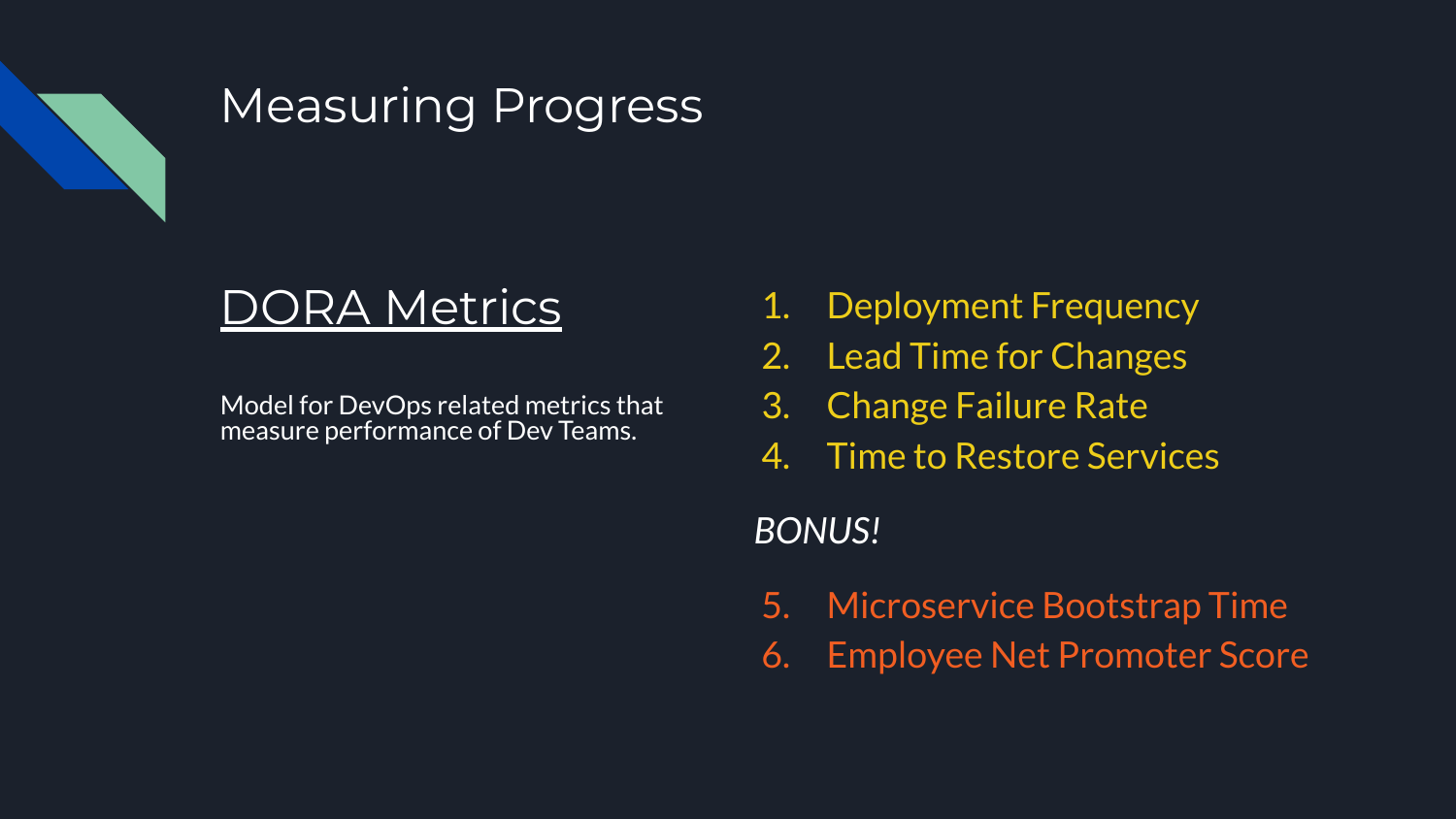

## Measuring Progress

## RA Metrics

Model for DevOps related metrics that measure performance of Dev Teams.

- 1. Deployment Frequency
- 2. Lead Time for Changes
- 3. Change Failure Rate
- 4. Time to Restore Services

### *BONUS!*

- 5. Microservice Bootstrap Time
- 6. Employee Net Promoter Score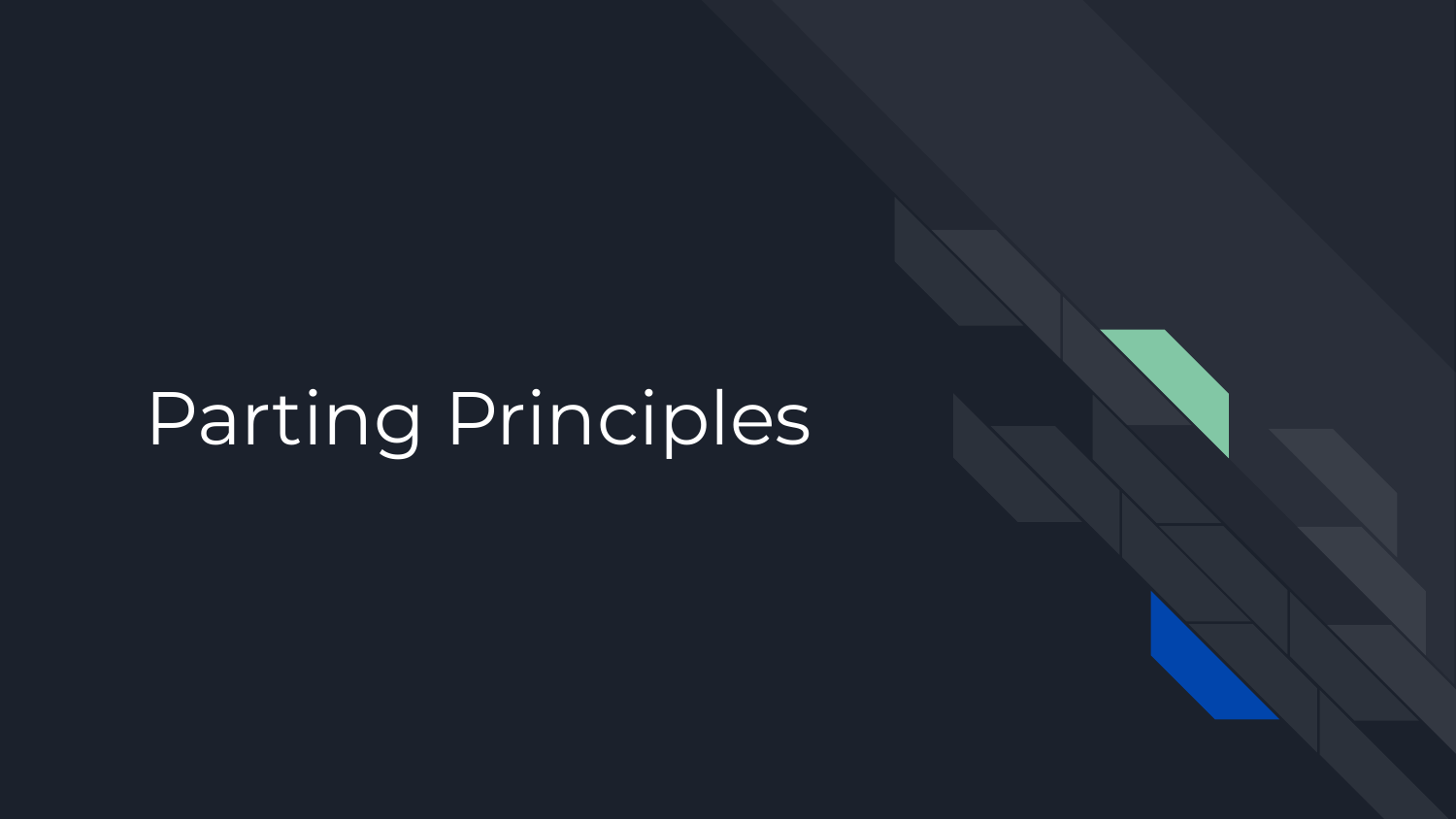## Parting Principles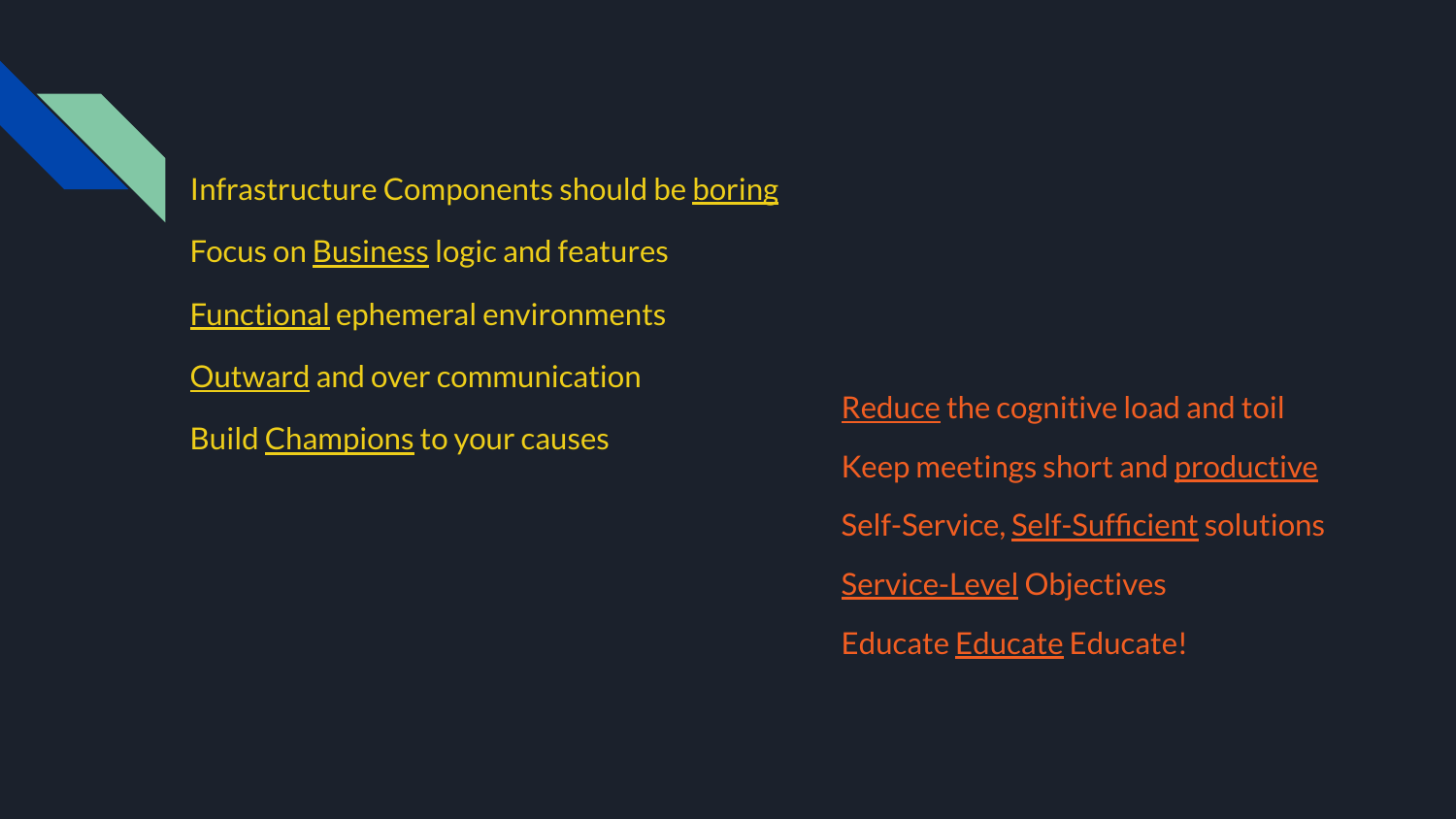

Infrastructure Components should be boring Focus on Business logic and features Functional ephemeral environments Outward and over communication Build Champions to your causes

Reduce the cognitive load and toil Keep meetings short and productive Self-Service, Self-Sufficient solutions **Service-Level Objectives** Educate Educate Educate!